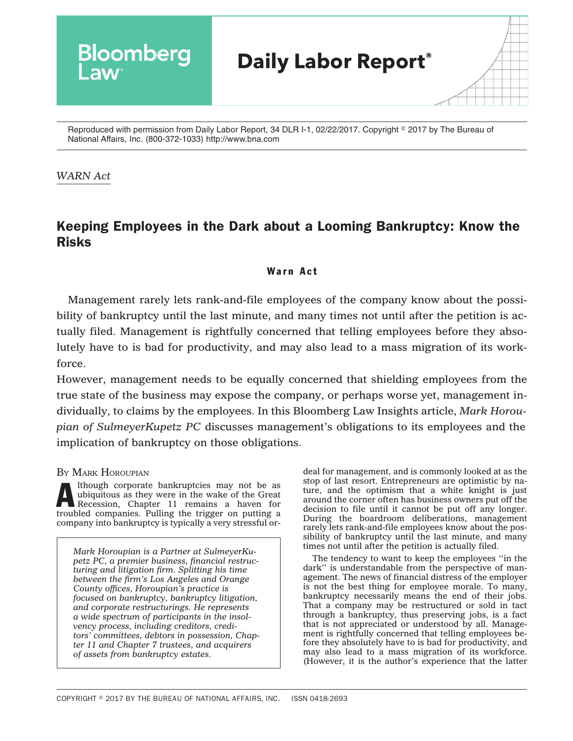

Reproduced with permission from Daily Labor Report, 34 DLR I-1, 02/22/2017. Copyright © 2017 by The Bureau of National Affairs, Inc. (800-372-1033) http://www.bna.com

## *WARN Act*

## Keeping Employees in the Dark about a Looming Bankruptcy: Know the Risks

## Warn Act

Management rarely lets rank-and-file employees of the company know about the possibility of bankruptcy until the last minute, and many times not until after the petition is actually filed. Management is rightfully concerned that telling employees before they absolutely have to is bad for productivity, and may also lead to a mass migration of its workforce.

However, management needs to be equally concerned that shielding employees from the true state of the business may expose the company, or perhaps worse yet, management individually, to claims by the employees. In this Bloomberg Law Insights article, *[Mark Horou](mhoroupian@sulmeyerlaw.com )[pian](mhoroupian@sulmeyerlaw.com ) of [SulmeyerKupetz PC](sulmeyerlaw.com/)* discusses management's obligations to its employees and the implication of bankruptcy on those obligations.

BY MARK [HOROUPIAN](mhoroupian@sulmeyerlaw.com )

Although corporate bankruptcies may not be as<br>ubiquitous as they were in the wake of the Great<br>Recession, Chapter 11 remains a haven for<br>traveled someone Pulling to trivial a haven for ubiquitous as they were in the wake of the Great Recession, Chapter 11 remains a haven for troubled companies. Pulling the trigger on putting a company into bankruptcy is typically a very stressful or-

*[Mark Horoupian](mhoroupian@sulmeyerlaw.com ) is a Partner at [SulmeyerKu](sulmeyerlaw.com/)[petz PC,](sulmeyerlaw.com/) a premier business, financial restructuring and litigation firm. Splitting his time between the firm's Los Angeles and Orange County offices, Horoupian's practice is focused on bankruptcy, bankruptcy litigation, and corporate restructurings. He represents a wide spectrum of participants in the insolvency process, including creditors, creditors' committees, debtors in possession, Chapter 11 and Chapter 7 trustees, and acquirers of assets from bankruptcy estates.*

deal for management, and is commonly looked at as the stop of last resort. Entrepreneurs are optimistic by nature, and the optimism that a white knight is just around the corner often has business owners put off the decision to file until it cannot be put off any longer. During the boardroom deliberations, management rarely lets rank-and-file employees know about the possibility of bankruptcy until the last minute, and many times not until after the petition is actually filed.

The tendency to want to keep the employees ''in the dark" is understandable from the perspective of management. The news of financial distress of the employer is not the best thing for employee morale. To many, bankruptcy necessarily means the end of their jobs. That a company may be restructured or sold in tact through a bankruptcy, thus preserving jobs, is a fact that is not appreciated or understood by all. Management is rightfully concerned that telling employees before they absolutely have to is bad for productivity, and may also lead to a mass migration of its workforce. (However, it is the author's experience that the latter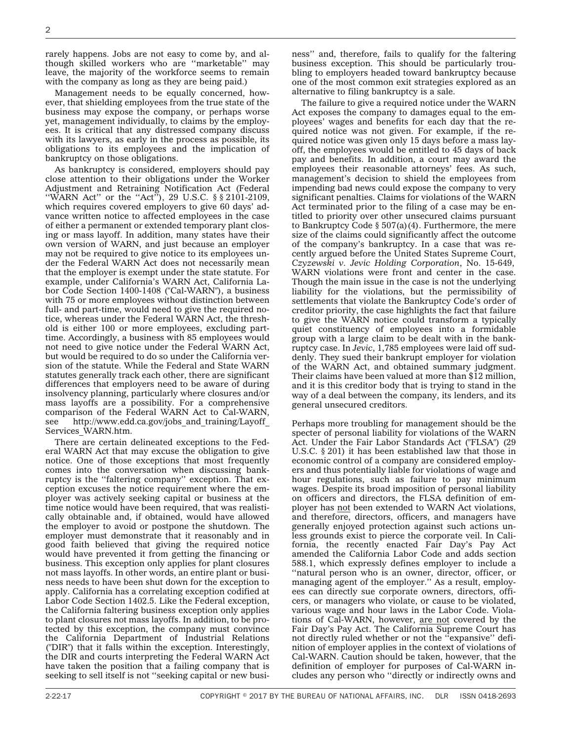rarely happens. Jobs are not easy to come by, and although skilled workers who are ''marketable'' may leave, the majority of the workforce seems to remain with the company as long as they are being paid.)

Management needs to be equally concerned, however, that shielding employees from the true state of the business may expose the company, or perhaps worse yet, management individually, to claims by the employees. It is critical that any distressed company discuss with its lawyers, as early in the process as possible, its obligations to its employees and the implication of bankruptcy on those obligations.

As bankruptcy is considered, employers should pay close attention to their obligations under the Worker Adjustment and Retraining Notification Act (Federal "WARN Act" or the "Act"), 29 U.S.C. § § 2101-2109, which requires covered employers to give 60 days' advance written notice to affected employees in the case of either a permanent or extended temporary plant closing or mass layoff. In addition, many states have their own version of WARN, and just because an employer may not be required to give notice to its employees under the Federal WARN Act does not necessarily mean that the employer is exempt under the state statute. For example, under California's WARN Act, California Labor Code Section 1400-1408 ("Cal-WARN"), a business with 75 or more employees without distinction between full- and part-time, would need to give the required notice, whereas under the Federal WARN Act, the threshold is either 100 or more employees, excluding parttime. Accordingly, a business with 85 employees would not need to give notice under the Federal WARN Act, but would be required to do so under the California version of the statute. While the Federal and State WARN statutes generally track each other, there are significant differences that employers need to be aware of during insolvency planning, particularly where closures and/or mass layoffs are a possibility. For a comprehensive comparison of the Federal WARN Act to Cal-WARN, see http://www.edd.ca.gov/jobs and training/Layoff [Services\\_WARN.htm.](http://www.edd.ca.gov/jobs_and_training/Layoff_Services_WARN.htm)

There are certain delineated exceptions to the Federal WARN Act that may excuse the obligation to give notice. One of those exceptions that most frequently comes into the conversation when discussing bankruptcy is the ''faltering company'' exception. That exception excuses the notice requirement where the employer was actively seeking capital or business at the time notice would have been required, that was realistically obtainable and, if obtained, would have allowed the employer to avoid or postpone the shutdown. The employer must demonstrate that it reasonably and in good faith believed that giving the required notice would have prevented it from getting the financing or business. This exception only applies for plant closures not mass layoffs. In other words, an entire plant or business needs to have been shut down for the exception to apply. California has a correlating exception codified at Labor Code Section 1402.5. Like the Federal exception, the California faltering business exception only applies to plant closures not mass layoffs. In addition, to be protected by this exception, the company must convince the California Department of Industrial Relations ("DIR") that it falls within the exception. Interestingly, the DIR and courts interpreting the Federal WARN Act have taken the position that a failing company that is seeking to sell itself is not ''seeking capital or new business'' and, therefore, fails to qualify for the faltering business exception. This should be particularly troubling to employers headed toward bankruptcy because one of the most common exit strategies explored as an alternative to filing bankruptcy is a sale.

The failure to give a required notice under the WARN Act exposes the company to damages equal to the employees' wages and benefits for each day that the required notice was not given. For example, if the required notice was given only 15 days before a mass layoff, the employees would be entitled to 45 days of back pay and benefits. In addition, a court may award the employees their reasonable attorneys' fees. As such, management's decision to shield the employees from impending bad news could expose the company to very significant penalties. Claims for violations of the WARN Act terminated prior to the filing of a case may be entitled to priority over other unsecured claims pursuant to Bankruptcy Code § 507(a)(4). Furthermore, the mere size of the claims could significantly affect the outcome of the company's bankruptcy. In a case that was recently argued before the United States Supreme Court, *Czyzewski v. Jevic Holding Corporation*, No. 15-649, WARN violations were front and center in the case. Though the main issue in the case is not the underlying liability for the violations, but the permissibility of settlements that violate the Bankruptcy Code's order of creditor priority, the case highlights the fact that failure to give the WARN notice could transform a typically quiet constituency of employees into a formidable group with a large claim to be dealt with in the bankruptcy case. In *Jevic*, 1,785 employees were laid off suddenly. They sued their bankrupt employer for violation of the WARN Act, and obtained summary judgment. Their claims have been valued at more than \$12 million, and it is this creditor body that is trying to stand in the way of a deal between the company, its lenders, and its general unsecured creditors.

Perhaps more troubling for management should be the specter of personal liability for violations of the WARN Act. Under the Fair Labor Standards Act ("FLSA") (29 U.S.C. § 201) it has been established law that those in economic control of a company are considered employers and thus potentially liable for violations of wage and hour regulations, such as failure to pay minimum wages. Despite its broad imposition of personal liability on officers and directors, the FLSA definition of employer has not been extended to WARN Act violations, and therefore, directors, officers, and managers have generally enjoyed protection against such actions unless grounds exist to pierce the corporate veil. In California, the recently enacted Fair Day's Pay Act amended the California Labor Code and adds section 588.1, which expressly defines employer to include a "natural person who is an owner, director, officer, or managing agent of the employer.'' As a result, employees can directly sue corporate owners, directors, officers, or managers who violate, or cause to be violated, various wage and hour laws in the Labor Code. Violations of Cal-WARN, however, are not covered by the Fair Day's Pay Act. The California Supreme Court has not directly ruled whether or not the ''expansive'' definition of employer applies in the context of violations of Cal-WARN. Caution should be taken, however, that the definition of employer for purposes of Cal-WARN includes any person who ''directly or indirectly owns and